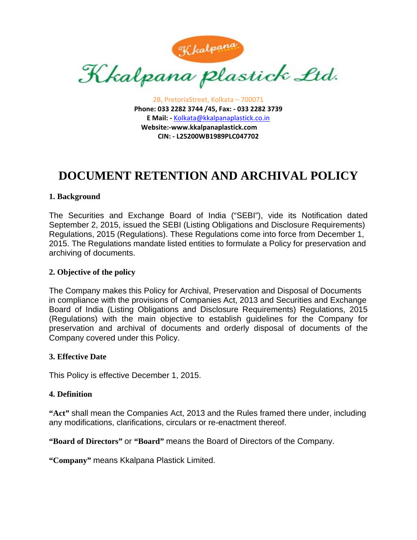

2B, PretoriaStreet, Kolkata – 700071 **Phone: 033 2282 3744 /45, Fax: ‐ 033 2282 3739 E Mail: ‐** Kolkata@kkalpanaplastick.co.in **Website:‐www.kkalpanaplastick.com CIN: ‐ L25200WB1989PLC047702**

# **DOCUMENT RETENTION AND ARCHIVAL POLICY**

## **1. Background**

The Securities and Exchange Board of India ("SEBI"), vide its Notification dated September 2, 2015, issued the SEBI (Listing Obligations and Disclosure Requirements) Regulations, 2015 (Regulations). These Regulations come into force from December 1, 2015. The Regulations mandate listed entities to formulate a Policy for preservation and archiving of documents.

#### **2. Objective of the policy**

The Company makes this Policy for Archival, Preservation and Disposal of Documents in compliance with the provisions of Companies Act, 2013 and Securities and Exchange Board of India (Listing Obligations and Disclosure Requirements) Regulations, 2015 (Regulations) with the main objective to establish guidelines for the Company for preservation and archival of documents and orderly disposal of documents of the Company covered under this Policy.

#### **3. Effective Date**

This Policy is effective December 1, 2015.

#### **4. Definition**

**"Act"** shall mean the Companies Act, 2013 and the Rules framed there under, including any modifications, clarifications, circulars or re-enactment thereof.

**"Board of Directors"** or **"Board"** means the Board of Directors of the Company.

**"Company"** means Kkalpana Plastick Limited.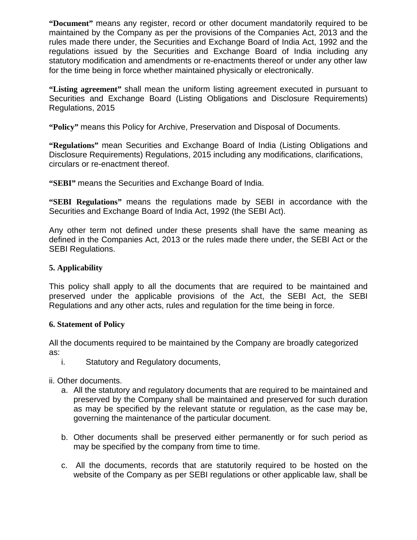**"Document"** means any register, record or other document mandatorily required to be maintained by the Company as per the provisions of the Companies Act, 2013 and the rules made there under, the Securities and Exchange Board of India Act, 1992 and the regulations issued by the Securities and Exchange Board of India including any statutory modification and amendments or re-enactments thereof or under any other law for the time being in force whether maintained physically or electronically.

**"Listing agreement"** shall mean the uniform listing agreement executed in pursuant to Securities and Exchange Board (Listing Obligations and Disclosure Requirements) Regulations, 2015

**"Policy"** means this Policy for Archive, Preservation and Disposal of Documents.

**"Regulations"** mean Securities and Exchange Board of India (Listing Obligations and Disclosure Requirements) Regulations, 2015 including any modifications, clarifications, circulars or re-enactment thereof.

**"SEBI"** means the Securities and Exchange Board of India.

**"SEBI Regulations"** means the regulations made by SEBI in accordance with the Securities and Exchange Board of India Act, 1992 (the SEBI Act).

Any other term not defined under these presents shall have the same meaning as defined in the Companies Act, 2013 or the rules made there under, the SEBI Act or the SEBI Regulations.

# **5. Applicability**

This policy shall apply to all the documents that are required to be maintained and preserved under the applicable provisions of the Act, the SEBI Act, the SEBI Regulations and any other acts, rules and regulation for the time being in force.

## **6. Statement of Policy**

All the documents required to be maintained by the Company are broadly categorized as:

- i. Statutory and Regulatory documents,
- ii. Other documents.
	- a. All the statutory and regulatory documents that are required to be maintained and preserved by the Company shall be maintained and preserved for such duration as may be specified by the relevant statute or regulation, as the case may be, governing the maintenance of the particular document.
	- b. Other documents shall be preserved either permanently or for such period as may be specified by the company from time to time.
	- c. All the documents, records that are statutorily required to be hosted on the website of the Company as per SEBI regulations or other applicable law, shall be